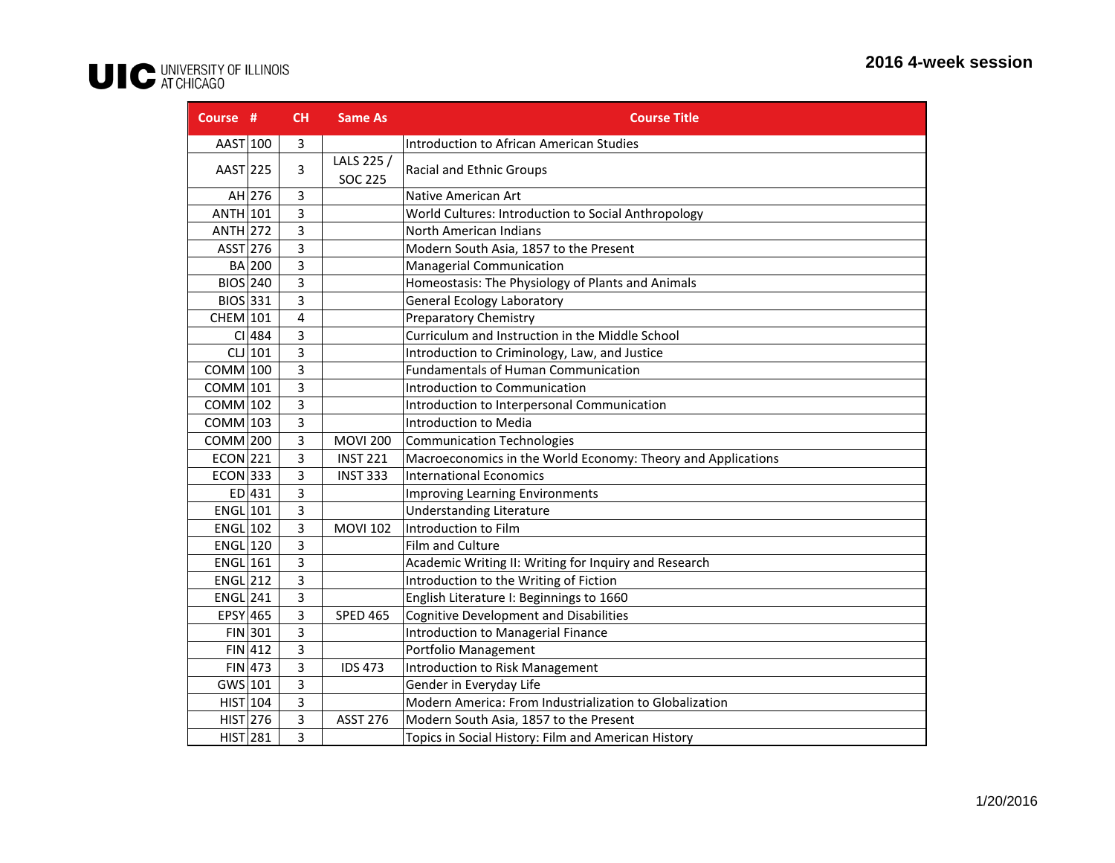## UIC UNIVERSITY OF ILLINOIS

| Course #        |           | CH | <b>Same As</b>               | <b>Course Title</b>                                          |
|-----------------|-----------|----|------------------------------|--------------------------------------------------------------|
| AAST 100        |           | 3  |                              | Introduction to African American Studies                     |
| AAST 225        |           | 3  | LALS 225 /<br><b>SOC 225</b> | <b>Racial and Ethnic Groups</b>                              |
|                 | $AH$ 276  | 3  |                              | Native American Art                                          |
| ANTH 101        |           | 3  |                              | World Cultures: Introduction to Social Anthropology          |
| $ANTH$ 272      |           | 3  |                              | North American Indians                                       |
| $ASST$ 276      |           | 3  |                              | Modern South Asia, 1857 to the Present                       |
|                 | BA 200    | 3  |                              | Managerial Communication                                     |
| <b>BIOS</b> 240 |           | 3  |                              | Homeostasis: The Physiology of Plants and Animals            |
| BIOS 331        |           | 3  |                              | <b>General Ecology Laboratory</b>                            |
| $CHEM$ 101      |           | 4  |                              | <b>Preparatory Chemistry</b>                                 |
|                 | CI 484    | 3  |                              | Curriculum and Instruction in the Middle School              |
|                 | $CL$  101 | 3  |                              | Introduction to Criminology, Law, and Justice                |
| $COMM$ 100      |           | 3  |                              | <b>Fundamentals of Human Communication</b>                   |
| $COMM$ 101      |           | 3  |                              | Introduction to Communication                                |
| $COMM$ 102      |           | 3  |                              | Introduction to Interpersonal Communication                  |
| $COMM$ 103      |           | 3  |                              | Introduction to Media                                        |
| $COMM$ 200      |           | 3  | <b>MOVI 200</b>              | <b>Communication Technologies</b>                            |
| <b>ECON 221</b> |           | 3  | <b>INST 221</b>              | Macroeconomics in the World Economy: Theory and Applications |
| $ECON$ 333      |           | 3  | <b>INST 333</b>              | <b>International Economics</b>                               |
|                 | ED 431    | 3  |                              | <b>Improving Learning Environments</b>                       |
| $ENGL$ 101      |           | 3  |                              | <b>Understanding Literature</b>                              |
| $ENGL$ 102      |           | 3  | <b>MOVI 102</b>              | Introduction to Film                                         |
| $ENGL$ 120      |           | 3  |                              | Film and Culture                                             |
| $ENGL$ 161      |           | 3  |                              | Academic Writing II: Writing for Inquiry and Research        |
| $ENGL$ 212      |           | 3  |                              | Introduction to the Writing of Fiction                       |
| $ENGL$ 241      |           | 3  |                              | English Literature I: Beginnings to 1660                     |
| EPSY 465        |           | 3  | <b>SPED 465</b>              | <b>Cognitive Development and Disabilities</b>                |
|                 | FIN 301   | 3  |                              | Introduction to Managerial Finance                           |
|                 | FIN 412   | 3  |                              | Portfolio Management                                         |
|                 | $FIN$ 473 | 3  | <b>IDS 473</b>               | Introduction to Risk Management                              |
| GWS 101         |           | 3  |                              | Gender in Everyday Life                                      |
| $HIST$ 104      |           | 3  |                              | Modern America: From Industrialization to Globalization      |
| $HIST$ 276      |           | 3  | <b>ASST 276</b>              | Modern South Asia, 1857 to the Present                       |
| $HIST$ 281      |           | 3  |                              | Topics in Social History: Film and American History          |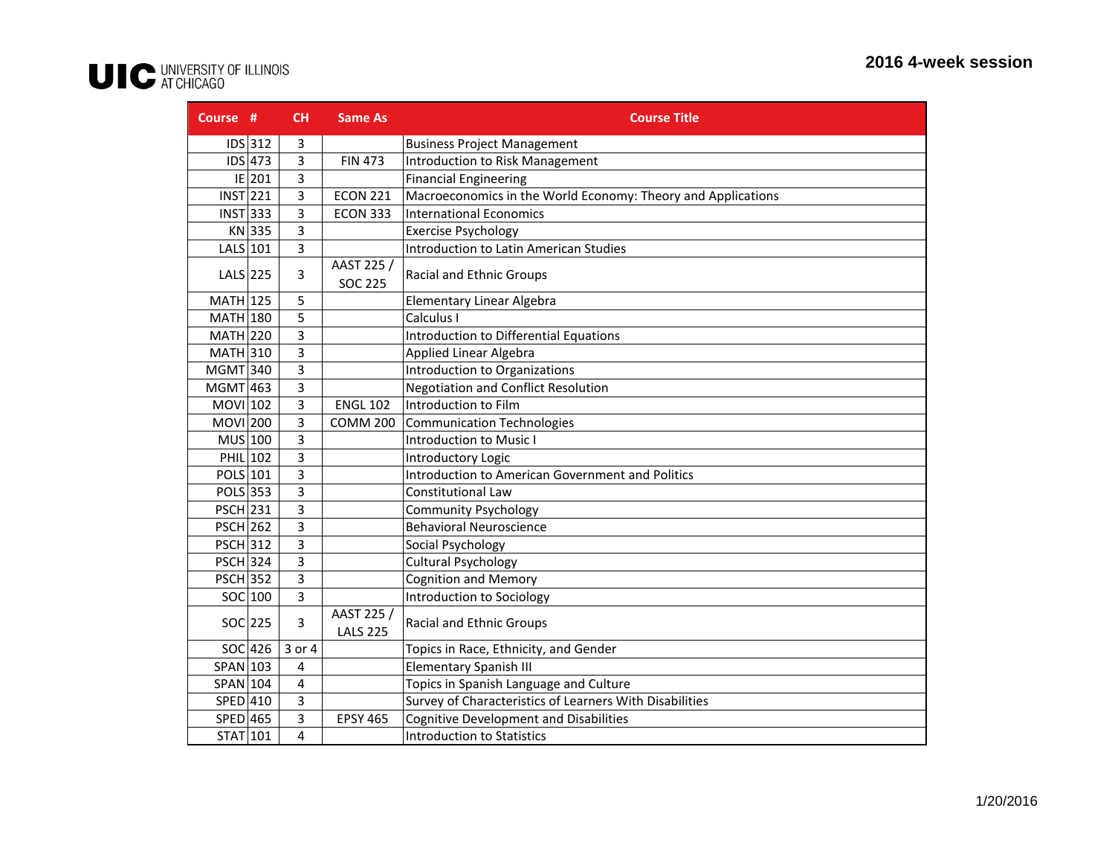## UIC UNIVERSITY OF ILLINOIS

| Course #        |           | CH             | <b>Same As</b>                | <b>Course Title</b>                                          |
|-----------------|-----------|----------------|-------------------------------|--------------------------------------------------------------|
|                 | $IDS$ 312 | 3              |                               | <b>Business Project Management</b>                           |
|                 | $IDS$ 473 | 3              | <b>FIN 473</b>                | <b>Introduction to Risk Management</b>                       |
|                 | E 201     | 3              |                               | <b>Financial Engineering</b>                                 |
| INT 221         |           | 3              | <b>ECON 221</b>               | Macroeconomics in the World Economy: Theory and Applications |
| $INST$ 333      |           | 3              | <b>ECON 333</b>               | <b>International Economics</b>                               |
|                 | KN 335    | 3              |                               | <b>Exercise Psychology</b>                                   |
| $LALS$ 101      |           | 3              |                               | <b>Introduction to Latin American Studies</b>                |
| $LALS$  225     |           | 3              | AAST 225 /<br><b>SOC 225</b>  | Racial and Ethnic Groups                                     |
| $MATH$ 125      |           | 5              |                               | Elementary Linear Algebra                                    |
| $MATH$ 180      |           | 5              |                               | Calculus I                                                   |
| $MATH$ 220      |           | 3              |                               | <b>Introduction to Differential Equations</b>                |
| $MATH$ 310      |           | 3              |                               | Applied Linear Algebra                                       |
| $MGMT$ 340      |           | 3              |                               | Introduction to Organizations                                |
| $MGMT$ 463      |           | 3              |                               | <b>Negotiation and Conflict Resolution</b>                   |
| MOVI 102        |           | 3              | <b>ENGL 102</b>               | Introduction to Film                                         |
| <b>MOVI</b> 200 |           | 3              | <b>COMM 200</b>               | <b>Communication Technologies</b>                            |
| $MUS$ 100       |           | 3              |                               | Introduction to Music I                                      |
| PHIL 102        |           | 3              |                               | Introductory Logic                                           |
| POLS 101        |           | $\overline{3}$ |                               | <b>Introduction to American Government and Politics</b>      |
| POLS 353        |           | 3              |                               | <b>Constitutional Law</b>                                    |
| <b>PSCH 231</b> |           | 3              |                               | <b>Community Psychology</b>                                  |
| <b>PSCH 262</b> |           | 3              |                               | <b>Behavioral Neuroscience</b>                               |
| <b>PSCH 312</b> |           | 3              |                               | Social Psychology                                            |
| <b>PSCH 324</b> |           | 3              |                               | <b>Cultural Psychology</b>                                   |
| <b>PSCH 352</b> |           | 3              |                               | <b>Cognition and Memory</b>                                  |
|                 | SOC 100   | 3              |                               | Introduction to Sociology                                    |
|                 | SOC 225   | 3              | AAST 225 /<br><b>LALS 225</b> | Racial and Ethnic Groups                                     |
|                 | $SOC$ 426 | 3 or 4         |                               | Topics in Race, Ethnicity, and Gender                        |
| SPAN 103        |           | 4              |                               | <b>Elementary Spanish III</b>                                |
| SPAN 104        |           | 4              |                               | Topics in Spanish Language and Culture                       |
| SPED 410        |           | 3              |                               | Survey of Characteristics of Learners With Disabilities      |
| SPED 465        |           | 3              | <b>EPSY 465</b>               | <b>Cognitive Development and Disabilities</b>                |
| STAT 101        |           | 4              |                               | <b>Introduction to Statistics</b>                            |